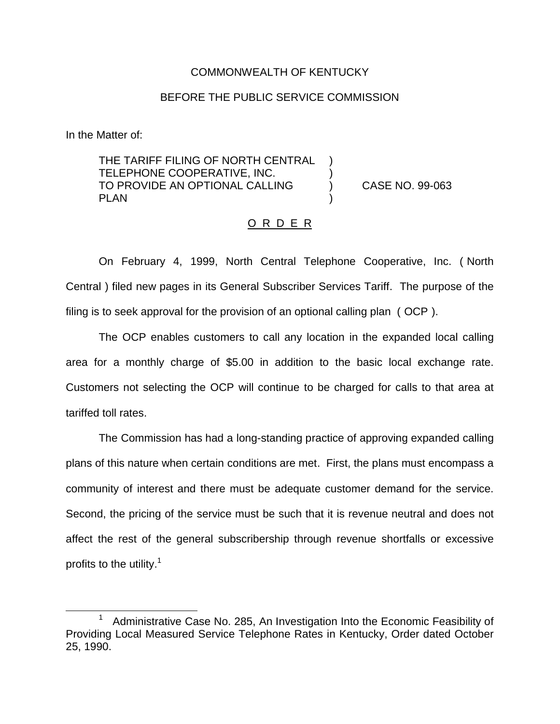## COMMONWEALTH OF KENTUCKY

## BEFORE THE PUBLIC SERVICE COMMISSION

In the Matter of:

THE TARIFF FILING OF NORTH CENTRAL TELEPHONE COOPERATIVE, INC. ) TO PROVIDE AN OPTIONAL CALLING (a) CASE NO. 99-063 **PLAN** 

## O R D E R

On February 4, 1999, North Central Telephone Cooperative, Inc. ( North Central ) filed new pages in its General Subscriber Services Tariff. The purpose of the filing is to seek approval for the provision of an optional calling plan ( OCP ).

The OCP enables customers to call any location in the expanded local calling area for a monthly charge of \$5.00 in addition to the basic local exchange rate. Customers not selecting the OCP will continue to be charged for calls to that area at tariffed toll rates.

The Commission has had a long-standing practice of approving expanded calling plans of this nature when certain conditions are met. First, the plans must encompass a community of interest and there must be adequate customer demand for the service. Second, the pricing of the service must be such that it is revenue neutral and does not affect the rest of the general subscribership through revenue shortfalls or excessive profits to the utility.<sup>1</sup>

<sup>1</sup> Administrative Case No. 285, An Investigation Into the Economic Feasibility of Providing Local Measured Service Telephone Rates in Kentucky, Order dated October 25, 1990.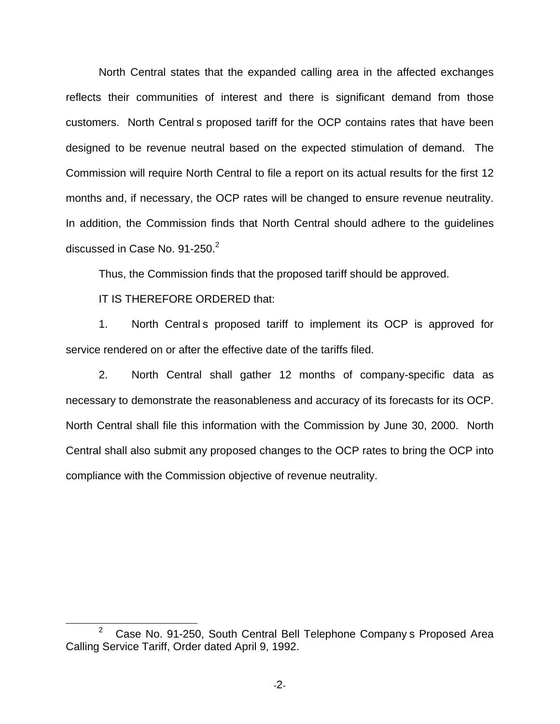North Central states that the expanded calling area in the affected exchanges reflects their communities of interest and there is significant demand from those customers. North Central s proposed tariff for the OCP contains rates that have been designed to be revenue neutral based on the expected stimulation of demand. The Commission will require North Central to file a report on its actual results for the first 12 months and, if necessary, the OCP rates will be changed to ensure revenue neutrality. In addition, the Commission finds that North Central should adhere to the guidelines discussed in Case No.  $91-250.<sup>2</sup>$ 

Thus, the Commission finds that the proposed tariff should be approved.

IT IS THEREFORE ORDERED that:

1. North Central s proposed tariff to implement its OCP is approved for service rendered on or after the effective date of the tariffs filed.

2. North Central shall gather 12 months of company-specific data as necessary to demonstrate the reasonableness and accuracy of its forecasts for its OCP. North Central shall file this information with the Commission by June 30, 2000. North Central shall also submit any proposed changes to the OCP rates to bring the OCP into compliance with the Commission objective of revenue neutrality.

 $2^{\circ}$  Case No. 91-250, South Central Bell Telephone Company s Proposed Area Calling Service Tariff, Order dated April 9, 1992.